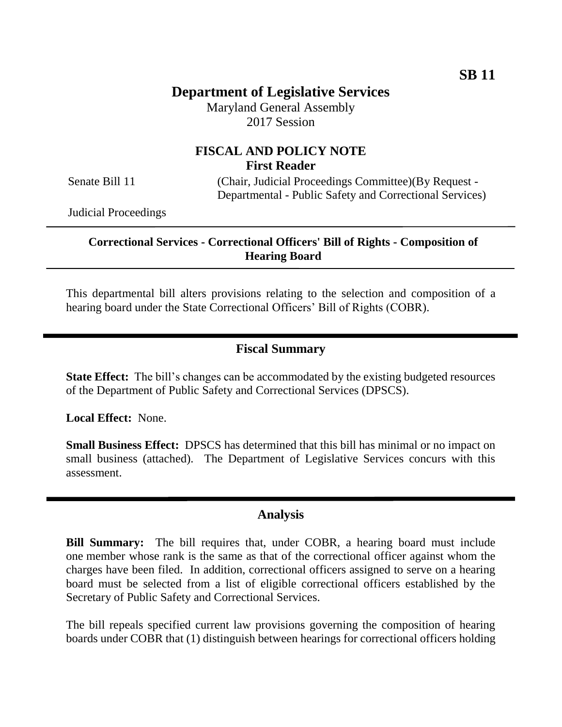# **Department of Legislative Services**

Maryland General Assembly 2017 Session

# **FISCAL AND POLICY NOTE First Reader**

Senate Bill 11 (Chair, Judicial Proceedings Committee)(By Request -Departmental - Public Safety and Correctional Services)

Judicial Proceedings

### **Correctional Services - Correctional Officers' Bill of Rights - Composition of Hearing Board**

This departmental bill alters provisions relating to the selection and composition of a hearing board under the State Correctional Officers' Bill of Rights (COBR).

### **Fiscal Summary**

**State Effect:** The bill's changes can be accommodated by the existing budgeted resources of the Department of Public Safety and Correctional Services (DPSCS).

**Local Effect:** None.

**Small Business Effect:** DPSCS has determined that this bill has minimal or no impact on small business (attached). The Department of Legislative Services concurs with this assessment.

### **Analysis**

**Bill Summary:** The bill requires that, under COBR, a hearing board must include one member whose rank is the same as that of the correctional officer against whom the charges have been filed. In addition, correctional officers assigned to serve on a hearing board must be selected from a list of eligible correctional officers established by the Secretary of Public Safety and Correctional Services.

The bill repeals specified current law provisions governing the composition of hearing boards under COBR that (1) distinguish between hearings for correctional officers holding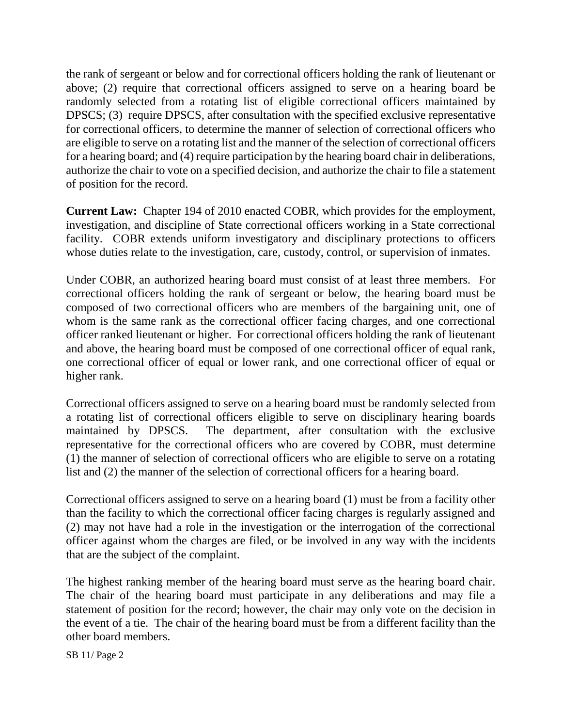the rank of sergeant or below and for correctional officers holding the rank of lieutenant or above; (2) require that correctional officers assigned to serve on a hearing board be randomly selected from a rotating list of eligible correctional officers maintained by DPSCS; (3) require DPSCS, after consultation with the specified exclusive representative for correctional officers, to determine the manner of selection of correctional officers who are eligible to serve on a rotating list and the manner of the selection of correctional officers for a hearing board; and (4) require participation by the hearing board chair in deliberations, authorize the chair to vote on a specified decision, and authorize the chair to file a statement of position for the record.

**Current Law:** Chapter 194 of 2010 enacted COBR, which provides for the employment, investigation, and discipline of State correctional officers working in a State correctional facility. COBR extends uniform investigatory and disciplinary protections to officers whose duties relate to the investigation, care, custody, control, or supervision of inmates.

Under COBR, an authorized hearing board must consist of at least three members. For correctional officers holding the rank of sergeant or below, the hearing board must be composed of two correctional officers who are members of the bargaining unit, one of whom is the same rank as the correctional officer facing charges, and one correctional officer ranked lieutenant or higher. For correctional officers holding the rank of lieutenant and above, the hearing board must be composed of one correctional officer of equal rank, one correctional officer of equal or lower rank, and one correctional officer of equal or higher rank.

Correctional officers assigned to serve on a hearing board must be randomly selected from a rotating list of correctional officers eligible to serve on disciplinary hearing boards maintained by DPSCS. The department, after consultation with the exclusive representative for the correctional officers who are covered by COBR, must determine (1) the manner of selection of correctional officers who are eligible to serve on a rotating list and (2) the manner of the selection of correctional officers for a hearing board.

Correctional officers assigned to serve on a hearing board (1) must be from a facility other than the facility to which the correctional officer facing charges is regularly assigned and (2) may not have had a role in the investigation or the interrogation of the correctional officer against whom the charges are filed, or be involved in any way with the incidents that are the subject of the complaint.

The highest ranking member of the hearing board must serve as the hearing board chair. The chair of the hearing board must participate in any deliberations and may file a statement of position for the record; however, the chair may only vote on the decision in the event of a tie. The chair of the hearing board must be from a different facility than the other board members.

SB 11/ Page 2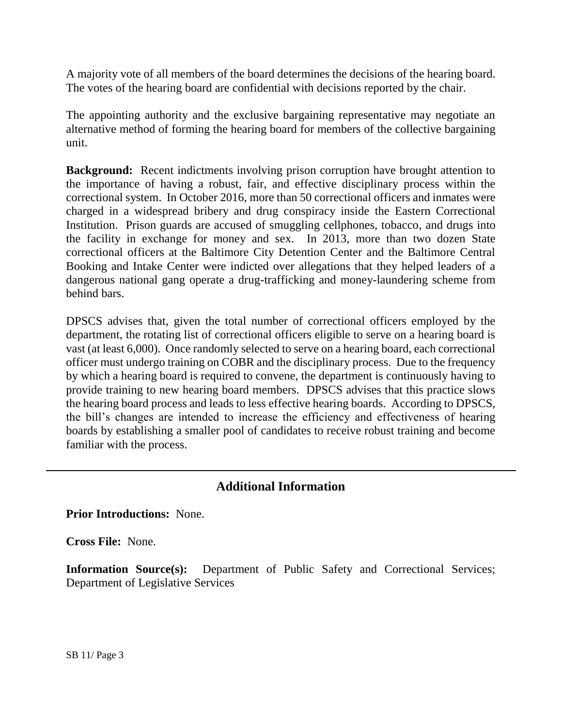A majority vote of all members of the board determines the decisions of the hearing board. The votes of the hearing board are confidential with decisions reported by the chair.

The appointing authority and the exclusive bargaining representative may negotiate an alternative method of forming the hearing board for members of the collective bargaining unit.

**Background:** Recent indictments involving prison corruption have brought attention to the importance of having a robust, fair, and effective disciplinary process within the correctional system. In October 2016, more than 50 correctional officers and inmates were charged in a widespread bribery and drug conspiracy inside the Eastern Correctional Institution. Prison guards are accused of smuggling cellphones, tobacco, and drugs into the facility in exchange for money and sex. In 2013, more than two dozen State correctional officers at the Baltimore City Detention Center and the Baltimore Central Booking and Intake Center were indicted over allegations that they helped leaders of a dangerous national gang operate a drug-trafficking and money-laundering scheme from behind bars.

DPSCS advises that, given the total number of correctional officers employed by the department, the rotating list of correctional officers eligible to serve on a hearing board is vast (at least 6,000). Once randomly selected to serve on a hearing board, each correctional officer must undergo training on COBR and the disciplinary process. Due to the frequency by which a hearing board is required to convene, the department is continuously having to provide training to new hearing board members. DPSCS advises that this practice slows the hearing board process and leads to less effective hearing boards. According to DPSCS, the bill's changes are intended to increase the efficiency and effectiveness of hearing boards by establishing a smaller pool of candidates to receive robust training and become familiar with the process.

# **Additional Information**

**Prior Introductions:** None.

**Cross File:** None.

**Information Source(s):** Department of Public Safety and Correctional Services; Department of Legislative Services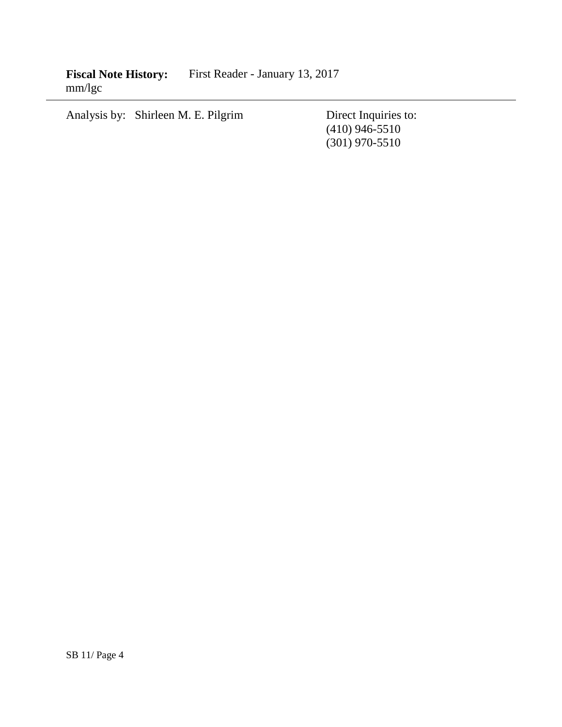**Fiscal Note History:** First Reader - January 13, 2017 mm/lgc

Analysis by: Shirleen M. E. Pilgrim Direct Inquiries to:

(410) 946-5510 (301) 970-5510